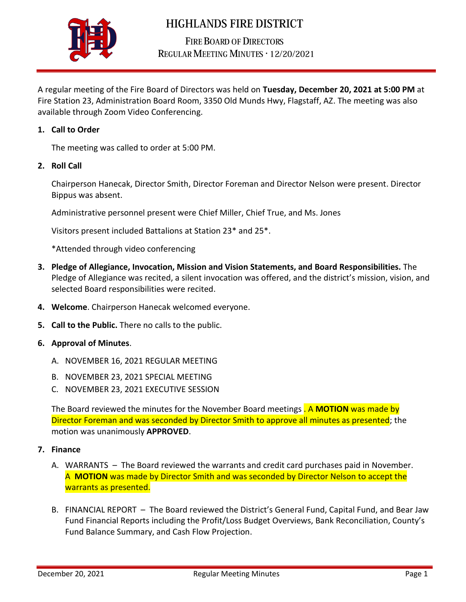

## **HIGHLANDS FIRE DISTRICT**

**FIRE BOARD OF DIRECTORS** REGULAR MEETING MINUTES . 12/20/2021

A regular meeting of the Fire Board of Directors was held on **Tuesday, December 20, 2021 at 5:00 PM** at Fire Station 23, Administration Board Room, 3350 Old Munds Hwy, Flagstaff, AZ. The meeting was also available through Zoom Video Conferencing.

## **1. Call to Order**

The meeting was called to order at 5:00 PM.

**2. Roll Call** 

Chairperson Hanecak, Director Smith, Director Foreman and Director Nelson were present. Director Bippus was absent.

Administrative personnel present were Chief Miller, Chief True, and Ms. Jones

Visitors present included Battalions at Station 23\* and 25\*.

\*Attended through video conferencing

- **3. Pledge of Allegiance, Invocation, Mission and Vision Statements, and Board Responsibilities.** The Pledge of Allegiance was recited, a silent invocation was offered, and the district's mission, vision, and selected Board responsibilities were recited.
- **4. Welcome**. Chairperson Hanecak welcomed everyone.
- **5. Call to the Public.** There no calls to the public.
- **6. Approval of Minutes**.
	- A. NOVEMBER 16, 2021 REGULAR MEETING
	- B. NOVEMBER 23, 2021 SPECIAL MEETING
	- C. NOVEMBER 23, 2021 EXECUTIVE SESSION

The Board reviewed the minutes for the November Board meetings . A **MOTION** was made by Director Foreman and was seconded by Director Smith to approve all minutes as presented; the motion was unanimously **APPROVED**.

- **7. Finance**
	- A. WARRANTS The Board reviewed the warrants and credit card purchases paid in November. A **MOTION** was made by Director Smith and was seconded by Director Nelson to accept the warrants as presented.
	- B. FINANCIAL REPORT The Board reviewed the District's General Fund, Capital Fund, and Bear Jaw Fund Financial Reports including the Profit/Loss Budget Overviews, Bank Reconciliation, County's Fund Balance Summary, and Cash Flow Projection.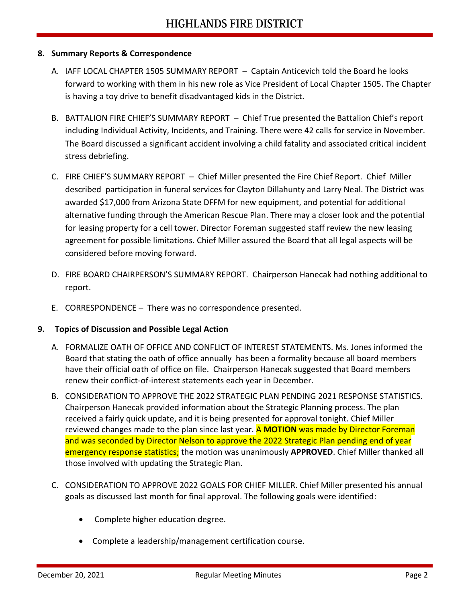## **8. Summary Reports & Correspondence**

- A. IAFF LOCAL CHAPTER 1505 SUMMARY REPORT Captain Anticevich told the Board he looks forward to working with them in his new role as Vice President of Local Chapter 1505. The Chapter is having a toy drive to benefit disadvantaged kids in the District.
- B. BATTALION FIRE CHIEF'S SUMMARY REPORT Chief True presented the Battalion Chief's report including Individual Activity, Incidents, and Training. There were 42 calls for service in November. The Board discussed a significant accident involving a child fatality and associated critical incident stress debriefing.
- C. FIRE CHIEF'S SUMMARY REPORT Chief Miller presented the Fire Chief Report. Chief Miller described participation in funeral services for Clayton Dillahunty and Larry Neal. The District was awarded \$17,000 from Arizona State DFFM for new equipment, and potential for additional alternative funding through the American Rescue Plan. There may a closer look and the potential for leasing property for a cell tower. Director Foreman suggested staff review the new leasing agreement for possible limitations. Chief Miller assured the Board that all legal aspects will be considered before moving forward.
- D. FIRE BOARD CHAIRPERSON'S SUMMARY REPORT. Chairperson Hanecak had nothing additional to report.
- E. CORRESPONDENCE There was no correspondence presented.

## **9. Topics of Discussion and Possible Legal Action**

- A. FORMALIZE OATH OF OFFICE AND CONFLICT OF INTEREST STATEMENTS. Ms. Jones informed the Board that stating the oath of office annually has been a formality because all board members have their official oath of office on file. Chairperson Hanecak suggested that Board members renew their conflict-of-interest statements each year in December.
- B. CONSIDERATION TO APPROVE THE 2022 STRATEGIC PLAN PENDING 2021 RESPONSE STATISTICS. Chairperson Hanecak provided information about the Strategic Planning process. The plan received a fairly quick update, and it is being presented for approval tonight. Chief Miller reviewed changes made to the plan since last year. A **MOTION** was made by Director Foreman and was seconded by Director Nelson to approve the 2022 Strategic Plan pending end of year emergency response statistics; the motion was unanimously **APPROVED**. Chief Miller thanked all those involved with updating the Strategic Plan.
- C. CONSIDERATION TO APPROVE 2022 GOALS FOR CHIEF MILLER. Chief Miller presented his annual goals as discussed last month for final approval. The following goals were identified:
	- Complete higher education degree.
	- Complete a leadership/management certification course.